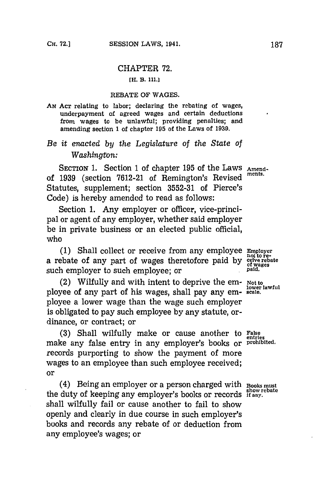## CHAPTER **72.**

## **[E-.** B. **11l.]**

### REBATE OF **WAGES.**

**AN ACT** relating to labor; declaring the rebating of wages, underpayment of agreed wages and certain deductions from wages to be unlawful; providing penalties; and amending section **1** of chapter **195** of the Laws of **1939.**

# *Be it enazcted by the Legislature of the State of Washington:*

SECTION 1. Section 1 of chapter 195 of the Laws Amendof 1939 (section 7612-21 of Remington's Revised Statutes, supplement; section **3552-31** of Pierce's Code) is hereby amended to read as follows:

Section 1. Any employer or officer, vice-principal or agent of any employer, whether said employer be in private business or an elected public official, who

**(1)** Shall collect or receive from any employee **Enmpoyer** a rebate of any part of wages theretofore paid **by ceive rebate** such employer to such employee; or **paid.** 

(2) Wilfully and with intent to deprive the em- **Not to lower lawful** ployee of any part of his wages, shall pay any em- **scale.** ployee a lower wage than the wage such employer is obligated to pay such employee **by** any statute, ordinance, or contract; or

(3) Shall wilfully make or cause another to False make any false entry in any employer's books or **prohibited.** records purporting to show the payment of more wages to an employee than such employee received; or

(4) Being an employer or a person charged With **Books must show rebate** the duty of keeping any employer's books or records **if** any. shall wilfully fail or cause another to fail to show openly and clearly in due course in such employer's books and records any rebate of or deduction from any employee's wages; or